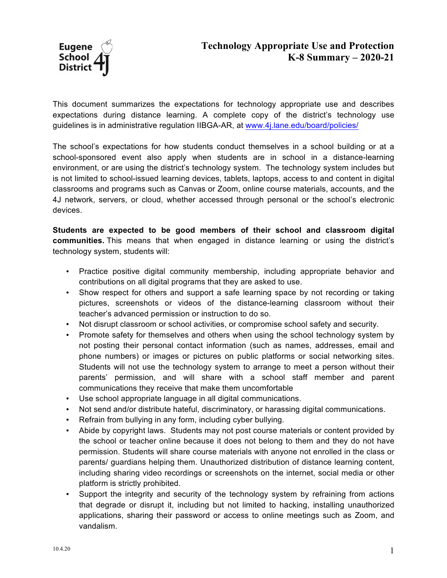

This document summarizes the expectations for technology appropriate use and describes expectations during distance learning. A complete copy of the district's technology use guidelines is in administrative regulation IIBGA-AR, at www.4j.lane.edu/board/policies/

The school's expectations for how students conduct themselves in a school building or at a school-sponsored event also apply when students are in school in a distance-learning environment, or are using the district's technology system. The technology system includes but is not limited to school-issued learning devices, tablets, laptops, access to and content in digital classrooms and programs such as Canvas or Zoom, online course materials, accounts, and the 4J network, servers, or cloud, whether accessed through personal or the school's electronic devices.

**Students are expected to be good members of their school and classroom digital communities.** This means that when engaged in distance learning or using the district's technology system, students will:

- Practice positive digital community membership, including appropriate behavior and contributions on all digital programs that they are asked to use.
- Show respect for others and support a safe learning space by not recording or taking pictures, screenshots or videos of the distance-learning classroom without their teacher's advanced permission or instruction to do so.
- Not disrupt classroom or school activities, or compromise school safety and security.
- Promote safety for themselves and others when using the school technology system by not posting their personal contact information (such as names, addresses, email and phone numbers) or images or pictures on public platforms or social networking sites. Students will not use the technology system to arrange to meet a person without their parents' permission, and will share with a school staff member and parent communications they receive that make them uncomfortable
- Use school appropriate language in all digital communications.
- Not send and/or distribute hateful, discriminatory, or harassing digital communications.
- Refrain from bullying in any form, including cyber bullying.
- Abide by copyright laws. Students may not post course materials or content provided by the school or teacher online because it does not belong to them and they do not have permission. Students will share course materials with anyone not enrolled in the class or parents/ guardians helping them. Unauthorized distribution of distance learning content, including sharing video recordings or screenshots on the internet, social media or other platform is strictly prohibited.
- Support the integrity and security of the technology system by refraining from actions that degrade or disrupt it, including but not limited to hacking, installing unauthorized applications, sharing their password or access to online meetings such as Zoom, and vandalism.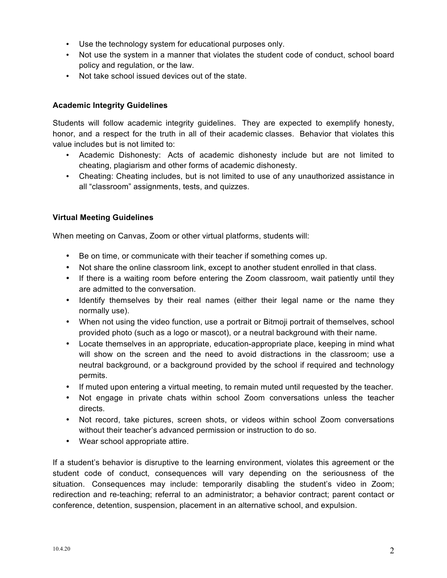- Use the technology system for educational purposes only.
- Not use the system in a manner that violates the student code of conduct, school board policy and regulation, or the law.
- Not take school issued devices out of the state.

## **Academic Integrity Guidelines**

Students will follow academic integrity guidelines. They are expected to exemplify honesty, honor, and a respect for the truth in all of their academic classes. Behavior that violates this value includes but is not limited to:

- Academic Dishonesty: Acts of academic dishonesty include but are not limited to cheating, plagiarism and other forms of academic dishonesty.
- Cheating: Cheating includes, but is not limited to use of any unauthorized assistance in all "classroom" assignments, tests, and quizzes.

## **Virtual Meeting Guidelines**

When meeting on Canvas, Zoom or other virtual platforms, students will:

- Be on time, or communicate with their teacher if something comes up.
- Not share the online classroom link, except to another student enrolled in that class.
- If there is a waiting room before entering the Zoom classroom, wait patiently until they are admitted to the conversation.
- Identify themselves by their real names (either their legal name or the name they normally use).
- When not using the video function, use a portrait or Bitmoji portrait of themselves, school provided photo (such as a logo or mascot), or a neutral background with their name.
- Locate themselves in an appropriate, education-appropriate place, keeping in mind what will show on the screen and the need to avoid distractions in the classroom; use a neutral background, or a background provided by the school if required and technology permits.
- If muted upon entering a virtual meeting, to remain muted until requested by the teacher.
- Not engage in private chats within school Zoom conversations unless the teacher directs.
- Not record, take pictures, screen shots, or videos within school Zoom conversations without their teacher's advanced permission or instruction to do so.
- Wear school appropriate attire.

If a student's behavior is disruptive to the learning environment, violates this agreement or the student code of conduct, consequences will vary depending on the seriousness of the situation. Consequences may include: temporarily disabling the student's video in Zoom; redirection and re-teaching; referral to an administrator; a behavior contract; parent contact or conference, detention, suspension, placement in an alternative school, and expulsion.